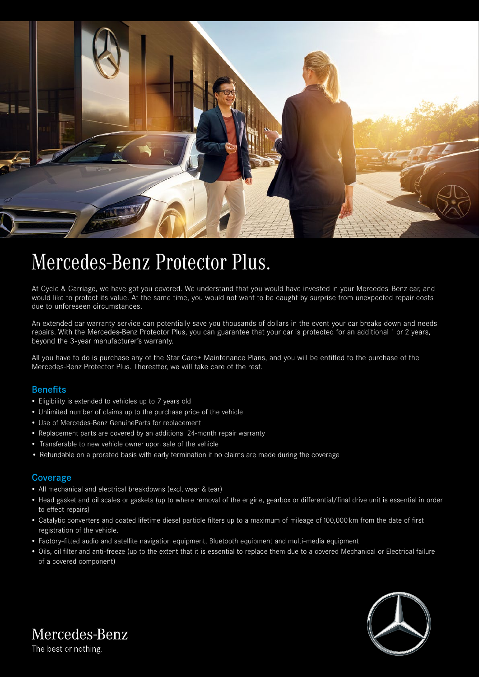

# Mercedes-Benz Protector Plus.

At Cycle & Carriage, we have got you covered. We understand that you would have invested in your Mercedes-Benz car, and would like to protect its value. At the same time, you would not want to be caught by surprise from unexpected repair costs due to unforeseen circumstances.

An extended car warranty service can potentially save you thousands of dollars in the event your car breaks down and needs repairs. With the Mercedes-Benz Protector Plus, you can guarantee that your car is protected for an additional 1 or 2 years, beyond the 3-year manufacturer's warranty.

All you have to do is purchase any of the Star Care+ Maintenance Plans, and you will be entitled to the purchase of the Mercedes-Benz Protector Plus. Thereafter, we will take care of the rest.

# Benefits

- Eligibility is extended to vehicles up to 7 years old
- Unlimited number of claims up to the purchase price of the vehicle
- Use of Mercedes-Benz GenuineParts for replacement
- Replacement parts are covered by an additional 24-month repair warranty
- Transferable to new vehicle owner upon sale of the vehicle
- Refundable on a prorated basis with early termination if no claims are made during the coverage

### Coverage

- All mechanical and electrical breakdowns (excl. wear & tear)
- Head gasket and oil scales or gaskets (up to where removal of the engine, gearbox or differential/final drive unit is essential in order to effect repairs)
- Catalytic converters and coated lifetime diesel particle filters up to a maximum of mileage of 100,000 km from the date of first registration of the vehicle.
- Factory-fitted audio and satellite navigation equipment, Bluetooth equipment and multi-media equipment
- Oils, oil filter and anti-freeze (up to the extent that it is essential to replace them due to a covered Mechanical or Electrical failure of a covered component)



Mercedes-Benz

The best or nothing.